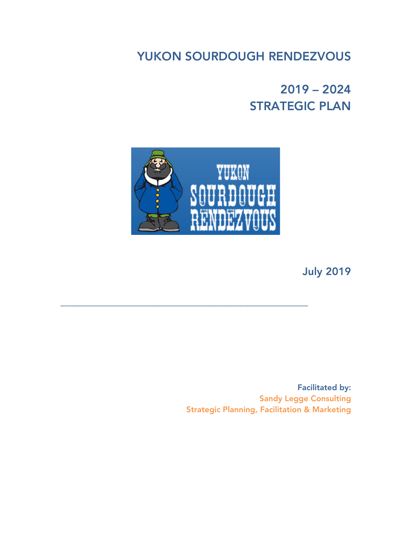YUKON SOURDOUGH RENDEZVOUS

2019 – 2024 STRATEGIC PLAN



\_\_\_\_\_\_\_\_\_\_\_\_\_\_\_\_\_\_\_\_\_\_\_\_\_\_\_\_\_\_\_\_\_\_\_\_\_\_\_\_\_\_\_\_\_\_

July 2019

Facilitated by: Sandy Legge Consulting Strategic Planning, Facilitation & Marketing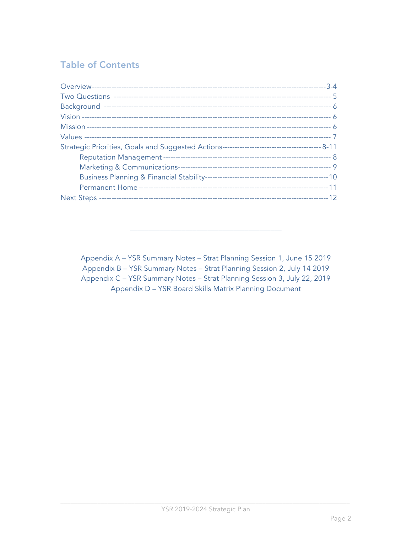# **Table of Contents**

Appendix A - YSR Summary Notes - Strat Planning Session 1, June 15 2019 Appendix B - YSR Summary Notes - Strat Planning Session 2, July 14 2019 Appendix C - YSR Summary Notes - Strat Planning Session 3, July 22, 2019 Appendix D - YSR Board Skills Matrix Planning Document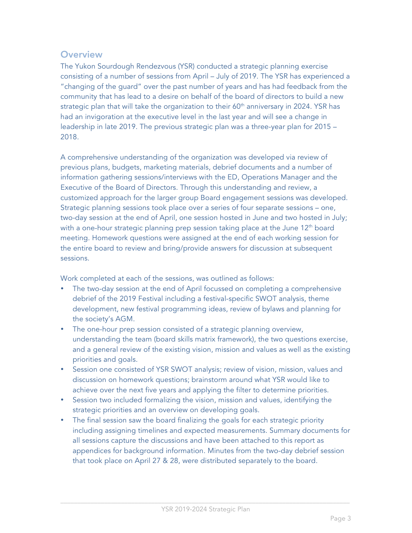## **Overview**

The Yukon Sourdough Rendezvous (YSR) conducted a strategic planning exercise consisting of a number of sessions from April – July of 2019. The YSR has experienced a "changing of the guard" over the past number of years and has had feedback from the community that has lead to a desire on behalf of the board of directors to build a new strategic plan that will take the organization to their  $60<sup>th</sup>$  anniversary in 2024. YSR has had an invigoration at the executive level in the last year and will see a change in leadership in late 2019. The previous strategic plan was a three-year plan for 2015 – 2018.

A comprehensive understanding of the organization was developed via review of previous plans, budgets, marketing materials, debrief documents and a number of information gathering sessions/interviews with the ED, Operations Manager and the Executive of the Board of Directors. Through this understanding and review, a customized approach for the larger group Board engagement sessions was developed. Strategic planning sessions took place over a series of four separate sessions – one, two-day session at the end of April, one session hosted in June and two hosted in July; with a one-hour strategic planning prep session taking place at the June 12<sup>th</sup> board meeting. Homework questions were assigned at the end of each working session for the entire board to review and bring/provide answers for discussion at subsequent sessions.

Work completed at each of the sessions, was outlined as follows:

- The two-day session at the end of April focussed on completing a comprehensive debrief of the 2019 Festival including a festival-specific SWOT analysis, theme development, new festival programming ideas, review of bylaws and planning for the society's AGM.
- The one-hour prep session consisted of a strategic planning overview, understanding the team (board skills matrix framework), the two questions exercise, and a general review of the existing vision, mission and values as well as the existing priorities and goals.
- Session one consisted of YSR SWOT analysis; review of vision, mission, values and discussion on homework questions; brainstorm around what YSR would like to achieve over the next five years and applying the filter to determine priorities.
- Session two included formalizing the vision, mission and values, identifying the strategic priorities and an overview on developing goals.
- The final session saw the board finalizing the goals for each strategic priority including assigning timelines and expected measurements. Summary documents for all sessions capture the discussions and have been attached to this report as appendices for background information. Minutes from the two-day debrief session that took place on April 27 & 28, were distributed separately to the board.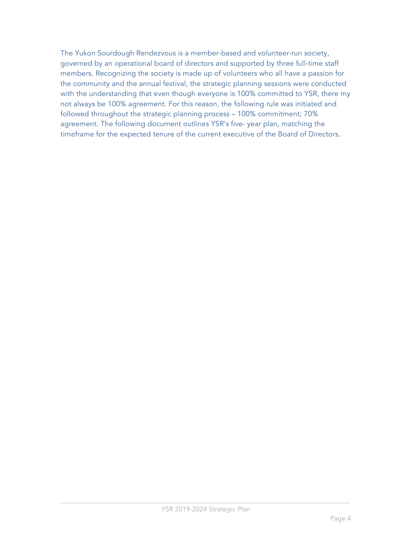The Yukon Sourdough Rendezvous is a member-based and volunteer-run society, governed by an operational board of directors and supported by three full-time staff members. Recognizing the society is made up of volunteers who all have a passion for the community and the annual festival, the strategic planning sessions were conducted with the understanding that even though everyone is 100% committed to YSR, there my not always be 100% agreement. For this reason, the following rule was initiated and followed throughout the strategic planning process – 100% commitment; 70% agreement. The following document outlines YSR's five- year plan, matching the timeframe for the expected tenure of the current executive of the Board of Directors.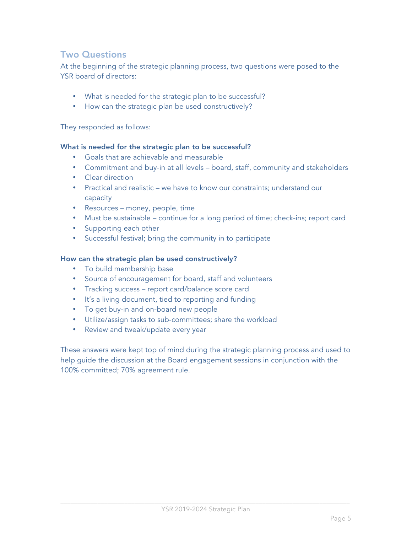## Two Questions

At the beginning of the strategic planning process, two questions were posed to the YSR board of directors:

- What is needed for the strategic plan to be successful?
- How can the strategic plan be used constructively?

They responded as follows:

#### What is needed for the strategic plan to be successful?

- Goals that are achievable and measurable
- Commitment and buy-in at all levels board, staff, community and stakeholders
- Clear direction
- Practical and realistic we have to know our constraints; understand our capacity
- Resources money, people, time
- Must be sustainable continue for a long period of time; check-ins; report card
- Supporting each other
- Successful festival; bring the community in to participate

#### How can the strategic plan be used constructively?

- To build membership base
- Source of encouragement for board, staff and volunteers
- Tracking success report card/balance score card
- It's a living document, tied to reporting and funding
- To get buy-in and on-board new people
- Utilize/assign tasks to sub-committees; share the workload
- Review and tweak/update every year

These answers were kept top of mind during the strategic planning process and used to help guide the discussion at the Board engagement sessions in conjunction with the 100% committed; 70% agreement rule.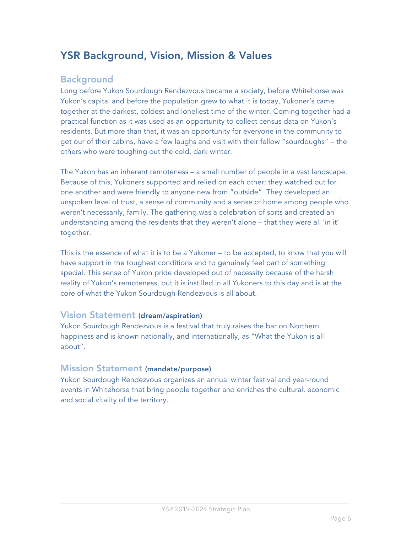# YSR Background, Vision, Mission & Values

## Background

Long before Yukon Sourdough Rendezvous became a society, before Whitehorse was Yukon's capital and before the population grew to what it is today, Yukoner's came together at the darkest, coldest and loneliest time of the winter. Coming together had a practical function as it was used as an opportunity to collect census data on Yukon's residents. But more than that, it was an opportunity for everyone in the community to get our of their cabins, have a few laughs and visit with their fellow "sourdoughs" – the others who were toughing out the cold, dark winter.

The Yukon has an inherent remoteness – a small number of people in a vast landscape. Because of this, Yukoners supported and relied on each other; they watched out for one another and were friendly to anyone new from "outside". They developed an unspoken level of trust, a sense of community and a sense of home among people who weren't necessarily, family. The gathering was a celebration of sorts and created an understanding among the residents that they weren't alone – that they were all 'in it' together.

This is the essence of what it is to be a Yukoner – to be accepted, to know that you will have support in the toughest conditions and to genuinely feel part of something special. This sense of Yukon pride developed out of necessity because of the harsh reality of Yukon's remoteness, but it is instilled in all Yukoners to this day and is at the core of what the Yukon Sourdough Rendezvous is all about.

### Vision Statement (dream/aspiration)

Yukon Sourdough Rendezvous is a festival that truly raises the bar on Northern happiness and is known nationally, and internationally, as "What the Yukon is all about".

### Mission Statement (mandate/purpose)

Yukon Sourdough Rendezvous organizes an annual winter festival and year-round events in Whitehorse that bring people together and enriches the cultural, economic and social vitality of the territory.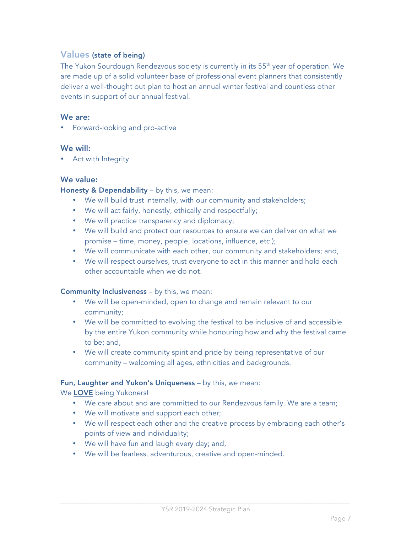## Values (state of being)

The Yukon Sourdough Rendezvous society is currently in its 55<sup>th</sup> year of operation. We are made up of a solid volunteer base of professional event planners that consistently deliver a well-thought out plan to host an annual winter festival and countless other events in support of our annual festival.

#### We are:

• Forward-looking and pro-active

#### We will:

• Act with Integrity

#### We value:

#### Honesty & Dependability - by this, we mean:

- We will build trust internally, with our community and stakeholders;
- We will act fairly, honestly, ethically and respectfully;
- We will practice transparency and diplomacy;
- We will build and protect our resources to ensure we can deliver on what we promise – time, money, people, locations, influence, etc.);
- We will communicate with each other, our community and stakeholders; and,
- We will respect ourselves, trust everyone to act in this manner and hold each other accountable when we do not.

#### **Community Inclusiveness** – by this, we mean:

- We will be open-minded, open to change and remain relevant to our community;
- We will be committed to evolving the festival to be inclusive of and accessible by the entire Yukon community while honouring how and why the festival came to be; and,
- We will create community spirit and pride by being representative of our community – welcoming all ages, ethnicities and backgrounds.

#### Fun, Laughter and Yukon's Uniqueness - by this, we mean:

#### We LOVE being Yukoners!

- We care about and are committed to our Rendezvous family. We are a team;
- We will motivate and support each other;
- We will respect each other and the creative process by embracing each other's points of view and individuality;
- We will have fun and laugh every day; and,
- We will be fearless, adventurous, creative and open-minded.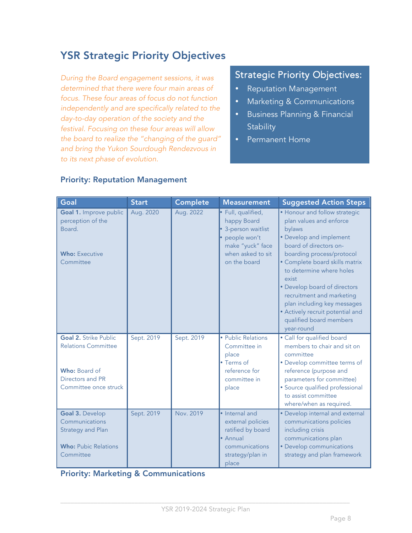# YSR Strategic Priority Objectives

*During the Board engagement sessions, it was determined that there were four main areas of focus. These four areas of focus do not function independently and are specifically related to the day-to-day operation of the society and the festival. Focusing on these four areas will allow the board to realize the "changing of the guard" and bring the Yukon Sourdough Rendezvous in to its next phase of evolution.*

## Strategic Priority Objectives:

- Reputation Management
- Marketing & Communications
- Business Planning & Financial **Stability**
- Permanent Home

| Goal                                                                                                                     | <b>Start</b> | Complete   | <b>Measurement</b>                                                                                                              | <b>Suggested Action Steps</b>                                                                                                                                                                                                                                                                                                                                                                        |
|--------------------------------------------------------------------------------------------------------------------------|--------------|------------|---------------------------------------------------------------------------------------------------------------------------------|------------------------------------------------------------------------------------------------------------------------------------------------------------------------------------------------------------------------------------------------------------------------------------------------------------------------------------------------------------------------------------------------------|
| Goal 1. Improve public<br>perception of the<br>Board.<br><b>Who: Executive</b><br>Committee                              | Aug. 2020    | Aug. 2022  | · Full, qualified,<br>happy Board<br>3-person waitlist<br>people won't<br>make "yuck" face<br>when asked to sit<br>on the board | • Honour and follow strategic<br>plan values and enforce<br>bylaws<br>• Develop and implement<br>board of directors on-<br>boarding process/protocol<br>• Complete board skills matrix<br>to determine where holes<br>exist<br>• Develop board of directors<br>recruitment and marketing<br>plan including key messages<br>• Actively recruit potential and<br>qualified board members<br>year-round |
| <b>Goal 2. Strike Public</b><br><b>Relations Committee</b><br>Who: Board of<br>Directors and PR<br>Committee once struck | Sept. 2019   | Sept. 2019 | • Public Relations<br>Committee in<br>place<br>• Terms of<br>reference for<br>committee in<br>place                             | • Call for qualified board<br>members to chair and sit on<br>committee<br>• Develop committee terms of<br>reference (purpose and<br>parameters for committee)<br>· Source qualified professional<br>to assist committee<br>where/when as required.                                                                                                                                                   |
| Goal 3. Develop<br>Communications<br><b>Strategy and Plan</b><br><b>Who: Pubic Relations</b><br>Committee                | Sept. 2019   | Nov. 2019  | • Internal and<br>external policies<br>ratified by board<br>• Annual<br>communications<br>strategy/plan in<br>place             | • Develop internal and external<br>communications policies<br>including crisis<br>communications plan<br>• Develop communications<br>strategy and plan framework                                                                                                                                                                                                                                     |

#### Priority: Reputation Management

### Priority: Marketing & Communications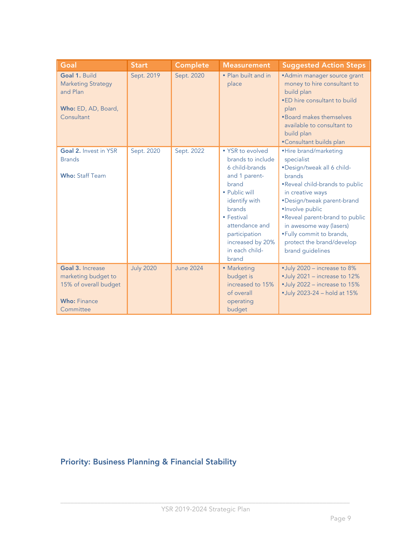| Goal                                                                                                 | <b>Start</b>     | Complete         | <b>Measurement</b>                                                                                                                                                        | <b>Suggested Action Steps</b>                                                                                                                                                                                                                                  |
|------------------------------------------------------------------------------------------------------|------------------|------------------|---------------------------------------------------------------------------------------------------------------------------------------------------------------------------|----------------------------------------------------------------------------------------------------------------------------------------------------------------------------------------------------------------------------------------------------------------|
| Goal 1, Build<br><b>Marketing Strategy</b><br>and Plan<br>Who: ED, AD, Board,<br>Consultant          | Sept. 2019       | Sept. 2020       | · Plan built and in<br>place                                                                                                                                              | • Admin manager source grant<br>money to hire consultant to<br>build plan<br>.ED hire consultant to build<br>plan<br>•Board makes themselves<br>available to consultant to<br>build plan<br>•Consultant builds plan                                            |
| Goal 2. Invest in YSR<br><b>Brands</b>                                                               | Sept. 2020       | Sept. 2022       | • YSR to evolved<br>brands to include<br>6 child-brands                                                                                                                   | ·Hire brand/marketing<br>specialist<br>•Design/tweak all 6 child-                                                                                                                                                                                              |
| <b>Who: Staff Team</b>                                                                               |                  |                  | and 1 parent-<br>brand<br>• Public will<br>identify with<br><b>brands</b><br>• Festival<br>attendance and<br>participation<br>increased by 20%<br>in each child-<br>brand | <b>brands</b><br>.Reveal child-brands to public<br>in creative ways<br>•Design/tweak parent-brand<br>·Involve public<br>.Reveal parent-brand to public<br>in awesome way (lasers)<br>.Fully commit to brands,<br>protect the brand/develop<br>brand guidelines |
| Goal 3. Increase<br>marketing budget to<br>15% of overall budget<br><b>Who: Finance</b><br>Committee | <b>July 2020</b> | <b>June 2024</b> | • Marketing<br>budget is<br>increased to 15%<br>of overall<br>operating<br>budget                                                                                         | •July 2020 - increase to 8%<br>•July 2021 - increase to 12%<br>•July 2022 - increase to 15%<br>•July 2023-24 - hold at 15%                                                                                                                                     |

## Priority: Business Planning & Financial Stability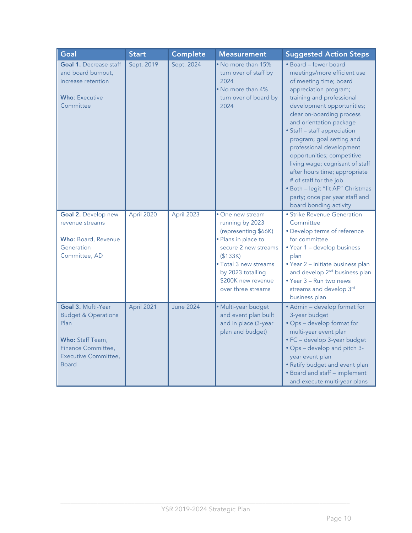| Goal                                                                                                                                           | <b>Start</b> | Complete         | <b>Measurement</b>                                                                                                                                                                                               | <b>Suggested Action Steps</b>                                                                                                                                                                                                                                                                                                                                                                                                                                                                                                                    |
|------------------------------------------------------------------------------------------------------------------------------------------------|--------------|------------------|------------------------------------------------------------------------------------------------------------------------------------------------------------------------------------------------------------------|--------------------------------------------------------------------------------------------------------------------------------------------------------------------------------------------------------------------------------------------------------------------------------------------------------------------------------------------------------------------------------------------------------------------------------------------------------------------------------------------------------------------------------------------------|
| <b>Goal 1. Decrease staff</b><br>and board burnout,<br>increase retention<br><b>Who: Executive</b><br>Committee                                | Sept. 2019   | Sept. 2024       | • No more than 15%<br>turn over of staff by<br>2024<br>• No more than 4%<br>turn over of board by<br>2024                                                                                                        | · Board - fewer board<br>meetings/more efficient use<br>of meeting time; board<br>appreciation program;<br>training and professional<br>development opportunities;<br>clear on-boarding process<br>and orientation package<br>• Staff - staff appreciation<br>program; goal setting and<br>professional development<br>opportunities; competitive<br>living wage; cognisant of staff<br>after hours time; appropriate<br># of staff for the job<br>· Both - legit "lit AF" Christmas<br>party; once per year staff and<br>board bonding activity |
| Goal 2. Develop new<br>revenue streams<br>Who: Board, Revenue<br>Generation<br>Committee, AD                                                   | April 2020   | April 2023       | • One new stream<br>running by 2023<br>(representing \$66K)<br>· Plans in place to<br>secure 2 new streams<br>(\$133K)<br>· Total 3 new streams<br>by 2023 totalling<br>\$200K new revenue<br>over three streams | • Strike Revenue Generation<br>Committee<br>• Develop terms of reference<br>for committee<br>. Year 1 - develop business<br>plan<br>· Year 2 - Initiate business plan<br>and develop 2 <sup>nd</sup> business plan<br>• Year 3 - Run two news<br>streams and develop 3rd<br>business plan                                                                                                                                                                                                                                                        |
| Goal 3. Mufti-Year<br><b>Budget &amp; Operations</b><br>Plan<br>Who: Staff Team,<br>Finance Committee,<br>Executive Committee,<br><b>Board</b> | April 2021   | <b>June 2024</b> | · Multi-year budget<br>and event plan built<br>and in place (3-year<br>plan and budget)                                                                                                                          | • Admin - develop format for<br>3-year budget<br>• Ops - develop format for<br>multi-year event plan<br>• FC - develop 3-year budget<br>• Ops - develop and pitch 3-<br>year event plan<br>• Ratify budget and event plan<br>• Board and staff - implement<br>and execute multi-year plans                                                                                                                                                                                                                                                       |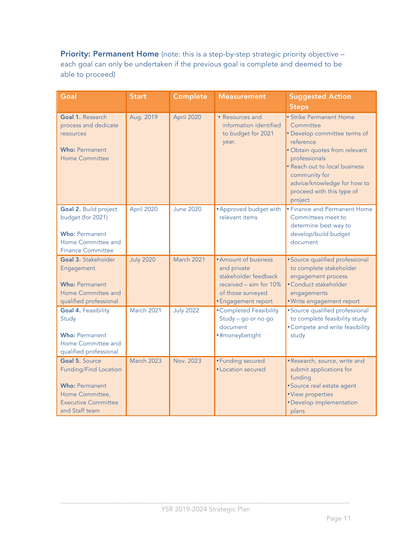Priority: Permanent Home (note: this is a step-by-step strategic priority objective each goal can only be undertaken if the previous goal is complete and deemed to be able to proceed)

| Goal                                                                                                                                       | <b>Start</b>     | Complete         | <b>Measurement</b>                                                                                                                | <b>Suggested Action</b>                                                                                                                                                                                                                                      |
|--------------------------------------------------------------------------------------------------------------------------------------------|------------------|------------------|-----------------------------------------------------------------------------------------------------------------------------------|--------------------------------------------------------------------------------------------------------------------------------------------------------------------------------------------------------------------------------------------------------------|
|                                                                                                                                            |                  |                  |                                                                                                                                   | <b>Steps</b>                                                                                                                                                                                                                                                 |
| Goal 1. Research<br>process and dedicate<br>resources<br><b>Who: Permanent</b><br><b>Home Committee</b>                                    | Aug. 2019        | April 2020       | • Resources and<br>information identified<br>to budget for 2021<br>year.                                                          | · Strike Permanent Home<br>Committee<br>• Develop committee terms of<br>reference<br>· Obtain quotes from relevant<br>professionals<br>. Reach out to local business<br>community for<br>advice/knowledge for how to<br>proceed with this type of<br>project |
| Goal 2. Build project<br>budget (for 2021)<br><b>Who: Permanent</b><br>Home Committee and<br><b>Finance Committee</b>                      | April 2020       | <b>June 2020</b> | • Approved budget with<br>relevant items                                                                                          | • Finance and Permanent Home<br>Committees meet to<br>determine best way to<br>develop/build budget<br>document                                                                                                                                              |
| Goal 3. Stakeholder<br>Engagement<br><b>Who: Permanent</b><br>Home Committee and<br>qualified professional                                 | <b>July 2020</b> | March 2021       | • Amount of business<br>and private<br>stakeholder feedback<br>received - aim for 10%<br>of those surveyed<br>• Engagement report | · Source qualified professional<br>to complete stakeholder<br>engagement process<br>• Conduct stakeholder<br>engagements<br>· Write engagement report                                                                                                        |
| <b>Goal 4. Feasibility</b><br>Study<br><b>Who: Permanent</b><br>Home Committee and<br>qualified professional                               | March 2021       | <b>July 2022</b> | • Completed Feasibility<br>Study - go or no go<br>document<br>·#moneybetight                                                      | · Source qualified professional<br>to complete feasibility study<br>• Compete and write feasibility<br>study                                                                                                                                                 |
| Goal 5. Source<br><b>Funding/Find Location</b><br><b>Who: Permanent</b><br>Home Committee,<br><b>Executive Committee</b><br>and Staff team | March 2023       | Nov. 2023        | • Funding secured<br>• Location secured                                                                                           | · Research, source, write and<br>submit applications for<br>funding<br>• Source real estate agent<br>• View properties<br>• Develop implementation<br>plans                                                                                                  |